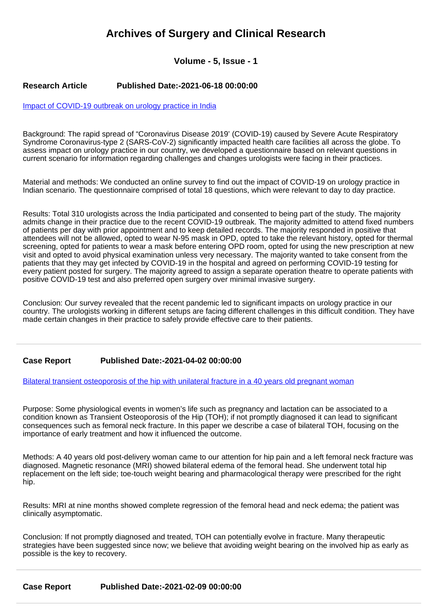# **Archives of Surgery and Clinical Research**

# **Volume - 5, Issue - 1**

### **Research Article Published Date:-2021-06-18 00:00:00**

#### [Impact of COVID-19 outbreak on urology practice in India](https://www.clinsurgeryjournal.com/articles/ascr-aid1059.pdf)

Background: The rapid spread of "Coronavirus Disease 2019' (COVID-19) caused by Severe Acute Respiratory Syndrome Coronavirus-type 2 (SARS-CoV-2) significantly impacted health care facilities all across the globe. To assess impact on urology practice in our country, we developed a questionnaire based on relevant questions in current scenario for information regarding challenges and changes urologists were facing in their practices.

Material and methods: We conducted an online survey to find out the impact of COVID-19 on urology practice in Indian scenario. The questionnaire comprised of total 18 questions, which were relevant to day to day practice.

Results: Total 310 urologists across the India participated and consented to being part of the study. The majority admits change in their practice due to the recent COVID-19 outbreak. The majority admitted to attend fixed numbers of patients per day with prior appointment and to keep detailed records. The majority responded in positive that attendees will not be allowed, opted to wear N-95 mask in OPD, opted to take the relevant history, opted for thermal screening, opted for patients to wear a mask before entering OPD room, opted for using the new prescription at new visit and opted to avoid physical examination unless very necessary. The majority wanted to take consent from the patients that they may get infected by COVID-19 in the hospital and agreed on performing COVID-19 testing for every patient posted for surgery. The majority agreed to assign a separate operation theatre to operate patients with positive COVID-19 test and also preferred open surgery over minimal invasive surgery.

Conclusion: Our survey revealed that the recent pandemic led to significant impacts on urology practice in our country. The urologists working in different setups are facing different challenges in this difficult condition. They have made certain changes in their practice to safely provide effective care to their patients.

## **Case Report Published Date:-2021-04-02 00:00:00**

[Bilateral transient osteoporosis of the hip with unilateral fracture in a 40 years old pregnant woman](https://www.clinsurgeryjournal.com/articles/ascr-aid1058.pdf)

Purpose: Some physiological events in women's life such as pregnancy and lactation can be associated to a condition known as Transient Osteoporosis of the Hip (TOH); if not promptly diagnosed it can lead to significant consequences such as femoral neck fracture. In this paper we describe a case of bilateral TOH, focusing on the importance of early treatment and how it influenced the outcome.

Methods: A 40 years old post-delivery woman came to our attention for hip pain and a left femoral neck fracture was diagnosed. Magnetic resonance (MRI) showed bilateral edema of the femoral head. She underwent total hip replacement on the left side; toe-touch weight bearing and pharmacological therapy were prescribed for the right hip.

Results: MRI at nine months showed complete regression of the femoral head and neck edema; the patient was clinically asymptomatic.

Conclusion: If not promptly diagnosed and treated, TOH can potentially evolve in fracture. Many therapeutic strategies have been suggested since now; we believe that avoiding weight bearing on the involved hip as early as possible is the key to recovery.

**Case Report Published Date:-2021-02-09 00:00:00**